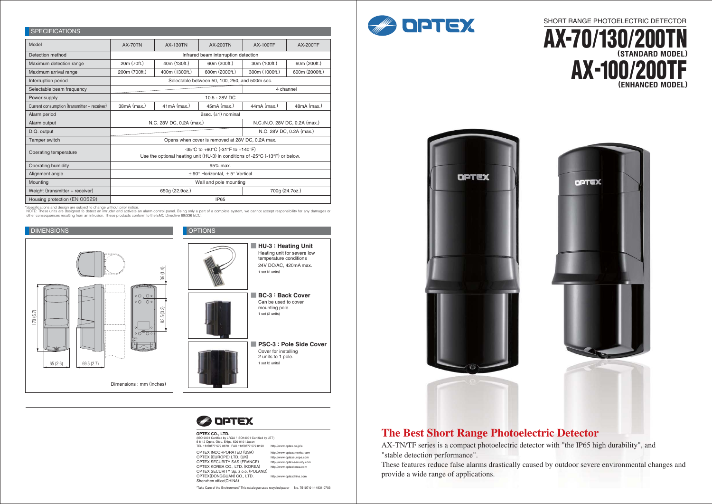



"Take Care of the Environment" This catalogue uses recycled paper No. 75107-01-14931-0703

#### **OPTEX CO., LTD.**

(ISO 9001 Certified by LRQA / ISO14001 Certified by JET) 5-8-12 Ogoto, Otsu, Shiga, 520-0101 Japan TEL +81(0)77 579 8670 FAX +81(0)77 579 8190 http://www.optex.co.jp/e

OPTEX INCORPORATED (USA) OPTEX (EUROPE) LTD. (UK) OPTEX SECURITY SAS (FRANCE) OPTEX KOREA CO., LTD. (KOREA) OPTEX SECURITY Sp. z o.o. (POLAND) OPTEX(DONGGUAN) CO., LTD. Shenzhen office(CHINA) http://www.optexamerica.com http://www.optexeurope.com http://www.optex-security.com http://www.optexkorea.com http://www.optexchina.com







\*Specifications and design are subject to change without prior notice.<br>NOTE: These units are designed to detect an intruder and activate an alarm control panel. Being only a part of a complete system, we cannot accept resp other consequences resulting from an intrusion. These products conform to the EMC Directive 89/336 ECC.

### SPECIFICATIONS

| 01 LUITULIUITU                               |                                                                                                                                                                                |                 |                 |                               |                 |  |
|----------------------------------------------|--------------------------------------------------------------------------------------------------------------------------------------------------------------------------------|-----------------|-----------------|-------------------------------|-----------------|--|
| Model                                        | <b>AX-70TN</b>                                                                                                                                                                 | <b>AX-130TN</b> | <b>AX-200TN</b> | <b>AX-100TF</b>               | <b>AX-200TF</b> |  |
| Detection method                             | Infrared beam interruption detection                                                                                                                                           |                 |                 |                               |                 |  |
| Maximum detection range                      | 20m (70ft.)                                                                                                                                                                    | 40m (130ft.)    | 60m (200ft.)    | 30m (100ft.)                  | 60m (200ft.)    |  |
| Maximum arrival range                        | 200m (700ft.)                                                                                                                                                                  | 400m (1300ft.)  | 600m (2000ft.)  | 300m (1000ft.)                | 600m (2000ft.)  |  |
| Interruption period                          | Selectable between 50, 100, 250, and 500m sec.                                                                                                                                 |                 |                 |                               |                 |  |
| Selectable beam frequency                    | 4 channel                                                                                                                                                                      |                 |                 |                               |                 |  |
| Power supply                                 | 10.5 - 28V DC                                                                                                                                                                  |                 |                 |                               |                 |  |
| Current consumption (transmitter + receiver) | 38mA (max.)                                                                                                                                                                    | $41mA$ (max.)   | $45mA$ (max.)   | $44mA$ (max.)                 | $48mA$ (max.)   |  |
| Alarm period                                 | 2sec. $(\pm 1)$ nominal                                                                                                                                                        |                 |                 |                               |                 |  |
| Alarm output                                 | N.C. 28V DC, 0.2A (max.)                                                                                                                                                       |                 |                 | N.C./N.O. 28V DC, 0.2A (max.) |                 |  |
| D.Q. output                                  | N.C. 28V DC, 0.2A (max.)                                                                                                                                                       |                 |                 |                               |                 |  |
| Tamper switch                                | Opens when cover is removed at 28V DC, 0.2A max.                                                                                                                               |                 |                 |                               |                 |  |
| Operating temperature                        | $-35^{\circ}$ C to $+60^{\circ}$ C ( $-31^{\circ}$ F to $+140^{\circ}$ F)<br>Use the optional heating unit (HU-3) in conditions of -25 $\degree$ C (-13 $\degree$ F) or below. |                 |                 |                               |                 |  |
|                                              |                                                                                                                                                                                |                 |                 |                               |                 |  |
| Operating humidity                           | 95% max.                                                                                                                                                                       |                 |                 |                               |                 |  |
| Alignment angle                              | $\pm$ 90° Horizontal. $\pm$ 5° Vertical                                                                                                                                        |                 |                 |                               |                 |  |
| Mounting                                     | Wall and pole mounting                                                                                                                                                         |                 |                 |                               |                 |  |
| Weight (transmitter + receiver)              | 650g (22.9oz.)<br>700g (24.7oz.)                                                                                                                                               |                 |                 |                               |                 |  |
| Housing protection (EN 00529)                | <b>IP65</b>                                                                                                                                                                    |                 |                 |                               |                 |  |

# **The Best Short Range Photoelectric Detector**

AX-TN/TF series is a compact photoelectric detector with "the IP65 high durability", and "stable detection performance".

These features reduce false alarms drastically caused by outdoor severe environmental changes and provide a wide range of applications.